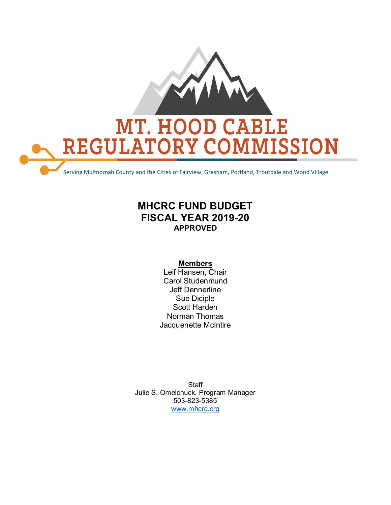

### **MHCRC FUND BUDGET FISCAL YEAR 2019-20 APPROVED**

#### **Members**

Leif Hansen, Chair Carol Studenmund Jeff Dennerline Sue Diciple Scott Harden Norman Thomas Jacquenette McIntire

**Staff** Julie S. Omelchuck, Program Manager 503-823-5385 [www.mhcrc.org](http://www.mhcrc.org/)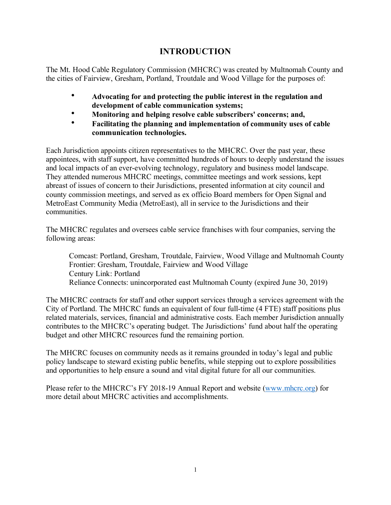### **INTRODUCTION**

The Mt. Hood Cable Regulatory Commission (MHCRC) was created by Multnomah County and the cities of Fairview, Gresham, Portland, Troutdale and Wood Village for the purposes of:

- **Advocating for and protecting the public interest in the regulation and development of cable communication systems;**
- **Monitoring and helping resolve cable subscribers' concerns; and,**
- **Facilitating the planning and implementation of community uses of cable communication technologies.**

Each Jurisdiction appoints citizen representatives to the MHCRC. Over the past year, these appointees, with staff support, have committed hundreds of hours to deeply understand the issues and local impacts of an ever-evolving technology, regulatory and business model landscape. They attended numerous MHCRC meetings, committee meetings and work sessions, kept abreast of issues of concern to their Jurisdictions, presented information at city council and county commission meetings, and served as ex officio Board members for Open Signal and MetroEast Community Media (MetroEast), all in service to the Jurisdictions and their communities.

The MHCRC regulates and oversees cable service franchises with four companies, serving the following areas:

Comcast: Portland, Gresham, Troutdale, Fairview, Wood Village and Multnomah County Frontier: Gresham, Troutdale, Fairview and Wood Village Century Link: Portland Reliance Connects: unincorporated east Multnomah County (expired June 30, 2019)

The MHCRC contracts for staff and other support services through a services agreement with the City of Portland. The MHCRC funds an equivalent of four full-time (4 FTE) staff positions plus related materials, services, financial and administrative costs. Each member Jurisdiction annually contributes to the MHCRC's operating budget. The Jurisdictions' fund about half the operating budget and other MHCRC resources fund the remaining portion.

The MHCRC focuses on community needs as it remains grounded in today's legal and public policy landscape to steward existing public benefits, while stepping out to explore possibilities and opportunities to help ensure a sound and vital digital future for all our communities.

Please refer to the MHCRC's FY 2018-19 Annual Report and website [\(www.mhcrc.org\)](http://www.mhcrc.org/) for more detail about MHCRC activities and accomplishments.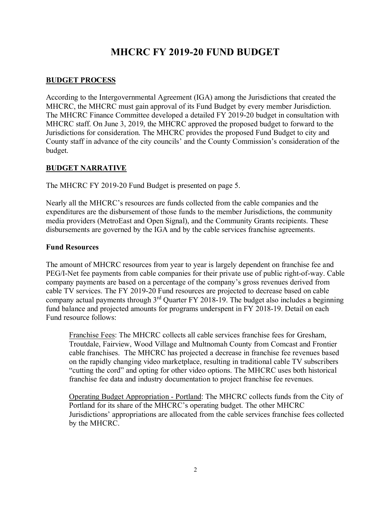### **MHCRC FY 2019-20 FUND BUDGET**

#### **BUDGET PROCESS**

According to the Intergovernmental Agreement (IGA) among the Jurisdictions that created the MHCRC, the MHCRC must gain approval of its Fund Budget by every member Jurisdiction. The MHCRC Finance Committee developed a detailed FY 2019-20 budget in consultation with MHCRC staff. On June 3, 2019, the MHCRC approved the proposed budget to forward to the Jurisdictions for consideration. The MHCRC provides the proposed Fund Budget to city and County staff in advance of the city councils' and the County Commission's consideration of the budget.

#### **BUDGET NARRATIVE**

The MHCRC FY 2019-20 Fund Budget is presented on page 5.

Nearly all the MHCRC's resources are funds collected from the cable companies and the expenditures are the disbursement of those funds to the member Jurisdictions, the community media providers (MetroEast and Open Signal), and the Community Grants recipients. These disbursements are governed by the IGA and by the cable services franchise agreements.

#### **Fund Resources**

The amount of MHCRC resources from year to year is largely dependent on franchise fee and PEG/I-Net fee payments from cable companies for their private use of public right-of-way. Cable company payments are based on a percentage of the company's gross revenues derived from cable TV services. The FY 2019-20 Fund resources are projected to decrease based on cable company actual payments through  $3<sup>rd</sup>$  Quarter FY 2018-19. The budget also includes a beginning fund balance and projected amounts for programs underspent in FY 2018-19. Detail on each Fund resource follows:

Franchise Fees: The MHCRC collects all cable services franchise fees for Gresham, Troutdale, Fairview, Wood Village and Multnomah County from Comcast and Frontier cable franchises. The MHCRC has projected a decrease in franchise fee revenues based on the rapidly changing video marketplace, resulting in traditional cable TV subscribers "cutting the cord" and opting for other video options. The MHCRC uses both historical franchise fee data and industry documentation to project franchise fee revenues.

Operating Budget Appropriation - Portland: The MHCRC collects funds from the City of Portland for its share of the MHCRC's operating budget. The other MHCRC Jurisdictions' appropriations are allocated from the cable services franchise fees collected by the MHCRC.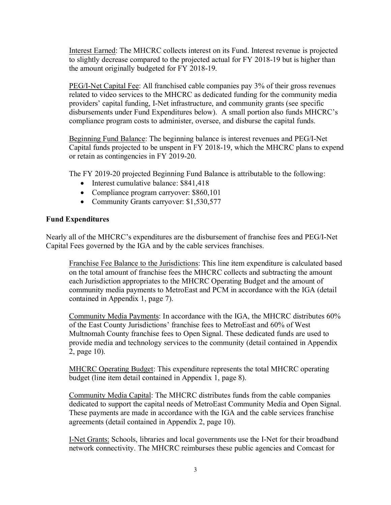Interest Earned: The MHCRC collects interest on its Fund. Interest revenue is projected to slightly decrease compared to the projected actual for FY 2018-19 but is higher than the amount originally budgeted for FY 2018-19.

PEG/I-Net Capital Fee: All franchised cable companies pay 3% of their gross revenues related to video services to the MHCRC as dedicated funding for the community media providers' capital funding, I-Net infrastructure, and community grants (see specific disbursements under Fund Expenditures below). A small portion also funds MHCRC's compliance program costs to administer, oversee, and disburse the capital funds.

Beginning Fund Balance: The beginning balance is interest revenues and PEG/I-Net Capital funds projected to be unspent in FY 2018-19, which the MHCRC plans to expend or retain as contingencies in FY 2019-20.

The FY 2019-20 projected Beginning Fund Balance is attributable to the following:

- Interest cumulative balance: \$841,418
- Compliance program carryover: \$860,101
- Community Grants carryover: \$1,530,577

#### **Fund Expenditures**

Nearly all of the MHCRC's expenditures are the disbursement of franchise fees and PEG/I-Net Capital Fees governed by the IGA and by the cable services franchises.

Franchise Fee Balance to the Jurisdictions: This line item expenditure is calculated based on the total amount of franchise fees the MHCRC collects and subtracting the amount each Jurisdiction appropriates to the MHCRC Operating Budget and the amount of community media payments to MetroEast and PCM in accordance with the IGA (detail contained in Appendix 1, page 7).

Community Media Payments: In accordance with the IGA, the MHCRC distributes 60% of the East County Jurisdictions' franchise fees to MetroEast and 60% of West Multnomah County franchise fees to Open Signal. These dedicated funds are used to provide media and technology services to the community (detail contained in Appendix 2, page 10).

MHCRC Operating Budget: This expenditure represents the total MHCRC operating budget (line item detail contained in Appendix 1, page 8).

Community Media Capital: The MHCRC distributes funds from the cable companies dedicated to support the capital needs of MetroEast Community Media and Open Signal. These payments are made in accordance with the IGA and the cable services franchise agreements (detail contained in Appendix 2, page 10).

I-Net Grants: Schools, libraries and local governments use the I-Net for their broadband network connectivity. The MHCRC reimburses these public agencies and Comcast for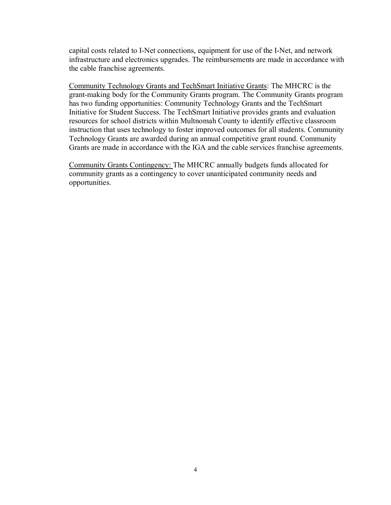capital costs related to I-Net connections, equipment for use of the I-Net, and network infrastructure and electronics upgrades. The reimbursements are made in accordance with the cable franchise agreements.

Community Technology Grants and TechSmart Initiative Grants: The MHCRC is the grant-making body for the Community Grants program. The Community Grants program has two funding opportunities: Community Technology Grants and the TechSmart Initiative for Student Success. The TechSmart Initiative provides grants and evaluation resources for school districts within Multnomah County to identify effective classroom instruction that uses technology to foster improved outcomes for all students. Community Technology Grants are awarded during an annual competitive grant round. Community Grants are made in accordance with the IGA and the cable services franchise agreements.

Community Grants Contingency: The MHCRC annually budgets funds allocated for community grants as a contingency to cover unanticipated community needs and opportunities.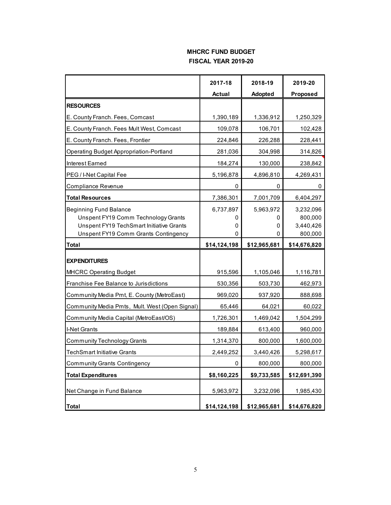#### **MHCRC FUND BUDGET FISCAL YEAR 2019-20**

|                                                                                                                                                          | 2017-18                  | 2018-19                  | 2019-20                                      |
|----------------------------------------------------------------------------------------------------------------------------------------------------------|--------------------------|--------------------------|----------------------------------------------|
|                                                                                                                                                          | <b>Actual</b>            | <b>Adopted</b>           | Proposed                                     |
| <b>RESOURCES</b>                                                                                                                                         |                          |                          |                                              |
| E. County Franch. Fees, Comcast                                                                                                                          | 1,390,189                | 1,336,912                | 1,250,329                                    |
| E. County Franch. Fees Mult West, Comcast                                                                                                                | 109,078                  | 106,701                  | 102,428                                      |
| E. County Franch. Fees, Frontier                                                                                                                         | 224,846                  | 226,288                  | 228,441                                      |
| <b>Operating Budget Appropriation-Portland</b>                                                                                                           | 281,036                  | 304,998                  | 314,826                                      |
| Interest Earned                                                                                                                                          | 184,274                  | 130,000                  | 238,842                                      |
| PEG / I-Net Capital Fee                                                                                                                                  | 5,196,878                | 4,896,810                | 4,269,431                                    |
| Compliance Revenue                                                                                                                                       | 0                        | 0                        | 0                                            |
| <b>Total Resources</b>                                                                                                                                   | 7,386,301                | 7,001,709                | 6,404,297                                    |
| <b>Beginning Fund Balance</b><br>Unspent FY19 Comm Technology Grants<br>Unspent FY19 TechSmart Initiative Grants<br>Unspent FY19 Comm Grants Contingency | 6,737,897<br>0<br>0<br>0 | 5,963,972<br>0<br>0<br>0 | 3,232,096<br>800,000<br>3,440,426<br>800,000 |
| <b>Total</b>                                                                                                                                             | \$14,124,198             | \$12,965,681             | \$14,676,820                                 |
|                                                                                                                                                          |                          |                          |                                              |
| <b>EXPENDITURES</b>                                                                                                                                      |                          |                          |                                              |
| <b>MHCRC Operating Budget</b>                                                                                                                            | 915,596                  | 1,105,046                | 1,116,781                                    |
| Franchise Fee Balance to Jurisdictions                                                                                                                   | 530,356                  | 503,730                  | 462,973                                      |
| Community Media Pmt, E. County (MetroEast)                                                                                                               | 969,020                  | 937,920                  | 888,698                                      |
| Community Media Pmts, Mult. West (Open Signal)                                                                                                           | 65,446                   | 64,021                   | 60,022                                       |
| Community Media Capital (MetroEast/OS)                                                                                                                   | 1,726,301                | 1,469,042                | 1,504,299                                    |
| I-Net Grants                                                                                                                                             | 189,884                  | 613,400                  | 960,000                                      |
| Community Technology Grants                                                                                                                              | 1,314,370                | 800,000                  | 1,600,000                                    |
| <b>TechSmart Initiative Grants</b>                                                                                                                       | 2,449,252                | 3,440,426                | 5,298,617                                    |
| <b>Community Grants Contingency</b>                                                                                                                      | U                        | 800,000                  | 800,000                                      |
| <b>Total Expenditures</b>                                                                                                                                | \$8,160,225              | \$9,733,585              | \$12,691,390                                 |
| Net Change in Fund Balance                                                                                                                               | 5,963,972                | 3,232,096                | 1,985,430                                    |
| <b>Total</b>                                                                                                                                             | \$14,124,198             | \$12,965,681             | \$14,676,820                                 |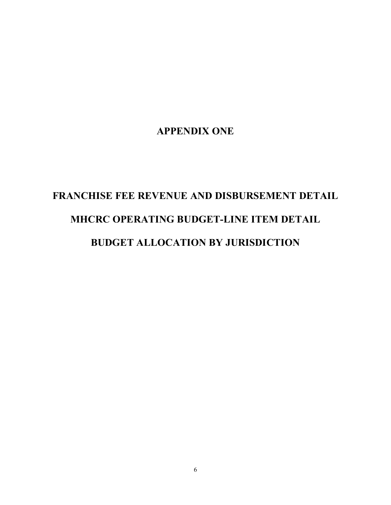### **APPENDIX ONE**

# **FRANCHISE FEE REVENUE AND DISBURSEMENT DETAIL MHCRC OPERATING BUDGET-LINE ITEM DETAIL**

### **BUDGET ALLOCATION BY JURISDICTION**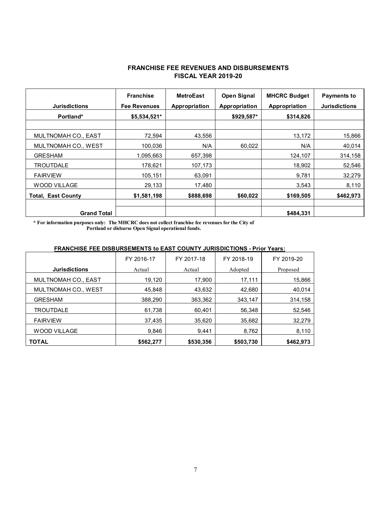#### **FRANCHISE FEE REVENUES AND DISBURSEMENTS FISCAL YEAR 2019-20**

| <b>Jurisdictions</b>      | <b>Franchise</b><br><b>Fee Revenues</b> | <b>MetroEast</b><br>Appropriation | <b>Open Signal</b><br>Appropriation | <b>MHCRC Budget</b><br>Appropriation | <b>Payments to</b><br><b>Jurisdictions</b> |
|---------------------------|-----------------------------------------|-----------------------------------|-------------------------------------|--------------------------------------|--------------------------------------------|
| Portland*                 | \$5,534,521*                            |                                   | \$929,587*                          | \$314,826                            |                                            |
|                           |                                         |                                   |                                     |                                      |                                            |
| MULTNOMAH CO., EAST       | 72,594                                  | 43,556                            |                                     | 13,172                               | 15,866                                     |
| MULTNOMAH CO., WEST       | 100,036                                 | N/A                               | 60,022                              | N/A                                  | 40,014                                     |
| <b>GRESHAM</b>            | 1,095,663                               | 657,398                           |                                     | 124,107                              | 314,158                                    |
| <b>TROUTDALE</b>          | 178,621                                 | 107,173                           |                                     | 18,902                               | 52,546                                     |
| <b>FAIRVIEW</b>           | 105,151                                 | 63,091                            |                                     | 9,781                                | 32,279                                     |
| <b>WOOD VILLAGE</b>       | 29,133                                  | 17,480                            |                                     | 3,543                                | 8,110                                      |
| <b>Total, East County</b> | \$1,581,198                             | \$888,698                         | \$60,022                            | \$169,505                            | \$462,973                                  |
| <b>Grand Total</b>        |                                         |                                   |                                     | \$484.331                            |                                            |

**\* For information purposes only: The MHCRC does not collect franchise fee revenues for the City of Portland or disburse Open Signal operational funds.**

#### **FRANCHISE FEE DISBURSEMENTS to EAST COUNTY JURISDICTIONS - Prior Years:**

|                            | FY 2016-17 | FY 2017-18 | FY 2018-19 | FY 2019-20 |
|----------------------------|------------|------------|------------|------------|
| <b>Jurisdictions</b>       | Actual     | Actual     | Adopted    | Proposed   |
| <b>MULTNOMAH CO., EAST</b> | 19,120     | 17,900     | 17,111     | 15,866     |
| <b>MULTNOMAH CO., WEST</b> | 45.848     | 43,632     | 42,680     | 40,014     |
| <b>GRESHAM</b>             | 388,290    | 363,362    | 343.147    | 314,158    |
| TROUTDALE                  | 61,738     | 60,401     | 56,348     | 52,546     |
| <b>FAIRVIEW</b>            | 37.435     | 35,620     | 35,682     | 32,279     |
| WOOD VILLAGE               | 9.846      | 9.441      | 8,762      | 8,110      |
| <b>TOTAL</b>               | \$562,277  | \$530,356  | \$503.730  | \$462.973  |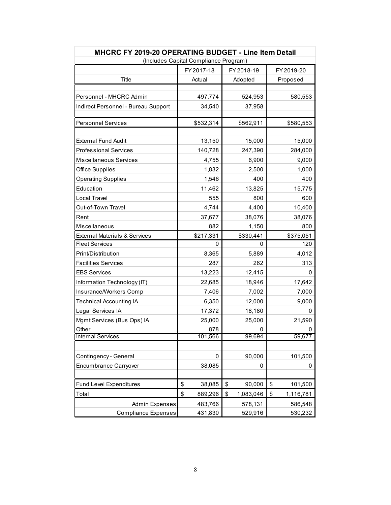| MHCRC FY 2019-20 OPERATING BUDGET - Line Item Detail |                                       |                 |                 |  |  |  |
|------------------------------------------------------|---------------------------------------|-----------------|-----------------|--|--|--|
|                                                      | (Includes Capital Compliance Program) |                 |                 |  |  |  |
|                                                      | FY 2017-18                            | FY 2018-19      | FY 2019-20      |  |  |  |
| Title                                                | Actual                                | Adopted         | Proposed        |  |  |  |
|                                                      |                                       |                 |                 |  |  |  |
| Personnel - MHCRC Admin                              | 497,774                               | 524,953         | 580,553         |  |  |  |
| Indirect Personnel - Bureau Support                  | 34,540                                | 37,958          |                 |  |  |  |
|                                                      |                                       |                 |                 |  |  |  |
| <b>Personnel Services</b>                            | \$532,314                             | \$562,911       | \$580,553       |  |  |  |
|                                                      |                                       |                 |                 |  |  |  |
| <b>External Fund Audit</b>                           | 13,150                                | 15,000          | 15,000          |  |  |  |
| <b>Professional Services</b>                         | 140,728                               | 247,390         | 284,000         |  |  |  |
| Miscellaneous Services                               | 4,755                                 | 6,900           | 9,000           |  |  |  |
| <b>Office Supplies</b>                               | 1,832                                 | 2,500           | 1,000           |  |  |  |
| <b>Operating Supplies</b>                            | 1,546                                 | 400             | 400             |  |  |  |
| Education                                            | 11,462                                | 13,825          | 15,775          |  |  |  |
| Local Travel                                         | 555                                   | 800             | 600             |  |  |  |
| Out-of-Town Travel                                   | 4,744                                 | 4,400           | 10,400          |  |  |  |
| Rent                                                 | 37,677                                | 38,076          | 38,076          |  |  |  |
| Miscellaneous                                        | 882                                   | 1,150           | 800             |  |  |  |
| <b>External Materials &amp; Services</b>             | \$217,331                             | \$330,441       | \$375,051       |  |  |  |
| <b>Fleet Services</b>                                | 0                                     | 0               | 120             |  |  |  |
| Print/Distribution                                   | 8,365                                 | 5,889           | 4,012           |  |  |  |
| <b>Facilities Services</b>                           | 287                                   | 262             | 313             |  |  |  |
| EBS Services                                         | 13,223                                | 12,415          | 0               |  |  |  |
| Information Technology (IT)                          | 22,685                                | 18,946          | 17,642          |  |  |  |
| Insurance/Workers Comp                               | 7,406                                 | 7,002           | 7,000           |  |  |  |
| <b>Technical Accounting IA</b>                       | 6,350                                 | 12,000          | 9,000           |  |  |  |
| Legal Services IA                                    | 17,372                                | 18,180          | 0               |  |  |  |
| Mgmt Services (Bus Ops) IA                           | 25,000                                | 25,000          | 21,590          |  |  |  |
| Other                                                | 878                                   | 0               | 0               |  |  |  |
| <b>Internal Services</b>                             | 101,566                               | 99,694          | 59,677          |  |  |  |
|                                                      |                                       |                 |                 |  |  |  |
| Contingency - General                                | $\Omega$                              | 90,000          | 101,500         |  |  |  |
| Encumbrance Carryover                                | 38,085                                | 0               | 0               |  |  |  |
|                                                      |                                       |                 |                 |  |  |  |
| <b>Fund Level Expenditures</b>                       | \$<br>38,085                          | \$<br>90,000    | \$<br>101,500   |  |  |  |
| Total                                                | \$<br>889,296                         | \$<br>1,083,046 | \$<br>1,116,781 |  |  |  |
| <b>Admin Expenses</b>                                | 483,766                               | 578,131         | 586,548         |  |  |  |
| <b>Compliance Expenses</b>                           | 431,830                               | 529,916         | 530,232         |  |  |  |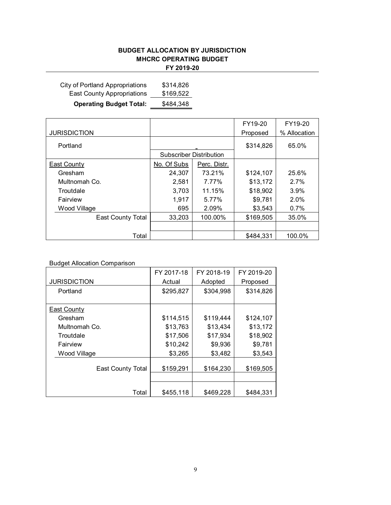### **BUDGET ALLOCATION BY JURISDICTION MHCRC OPERATING BUDGET**

|  |  |  | 2019-20 |  |
|--|--|--|---------|--|
|  |  |  |         |  |

| City of Portland Appropriations   | \$314,826 |
|-----------------------------------|-----------|
| <b>East County Appropriations</b> | \$169,522 |
| <b>Operating Budget Total:</b>    | \$484,348 |

|                          |                                |              | FY19-20   | FY19-20      |           |       |
|--------------------------|--------------------------------|--------------|-----------|--------------|-----------|-------|
| <b>JURISDICTION</b>      |                                |              | Proposed  | % Allocation |           |       |
| Portland                 |                                |              |           |              | \$314,826 | 65.0% |
|                          | <b>Subscriber Distribution</b> |              |           |              |           |       |
| East County              | No. Of Subs                    | Perc. Distr. |           |              |           |       |
| Gresham                  | 24,307                         | 73.21%       | \$124,107 | 25.6%        |           |       |
| Multnomah Co.            | 2,581                          | 7.77%        | \$13,172  | 2.7%         |           |       |
| Troutdale                | 3,703                          | 11.15%       | \$18,902  | 3.9%         |           |       |
| Fairview                 | 1,917                          | 5.77%        | \$9,781   | 2.0%         |           |       |
| Wood Village             | 695                            | 2.09%        | \$3,543   | 0.7%         |           |       |
| <b>East County Total</b> | 33,203                         | 100.00%      | \$169,505 | 35.0%        |           |       |
|                          |                                |              |           |              |           |       |
| Total                    |                                |              | \$484,331 | 100.0%       |           |       |

#### Budget Allocation Comparison

|                          | FY 2017-18 | FY 2018-19 | FY 2019-20 |
|--------------------------|------------|------------|------------|
| <b>JURISDICTION</b>      | Actual     | Adopted    | Proposed   |
| Portland                 | \$295,827  | \$304,998  | \$314,826  |
|                          |            |            |            |
| East County              |            |            |            |
| Gresham                  | \$114,515  | \$119,444  | \$124,107  |
| Multnomah Co.            | \$13,763   | \$13,434   | \$13,172   |
| Troutdale                | \$17,506   | \$17,934   | \$18,902   |
| Fairview                 | \$10,242   | \$9,936    | \$9,781    |
| Wood Village             | \$3,265    | \$3,482    | \$3,543    |
|                          |            |            |            |
| <b>East County Total</b> | \$159,291  | \$164,230  | \$169,505  |
|                          |            |            |            |
|                          |            |            |            |
| Total                    | \$455,118  | \$469,228  | \$484,331  |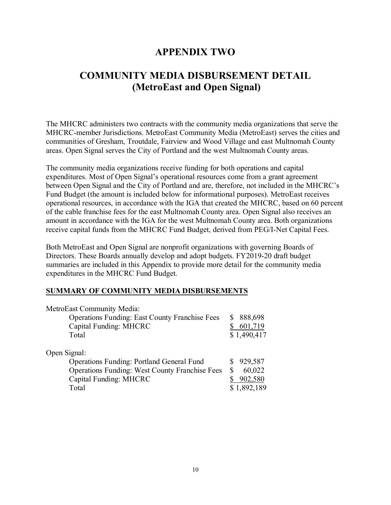### **APPENDIX TWO**

### **COMMUNITY MEDIA DISBURSEMENT DETAIL (MetroEast and Open Signal)**

The MHCRC administers two contracts with the community media organizations that serve the MHCRC-member Jurisdictions. MetroEast Community Media (MetroEast) serves the cities and communities of Gresham, Troutdale, Fairview and Wood Village and east Multnomah County areas. Open Signal serves the City of Portland and the west Multnomah County areas.

The community media organizations receive funding for both operations and capital expenditures. Most of Open Signal's operational resources come from a grant agreement between Open Signal and the City of Portland and are, therefore, not included in the MHCRC's Fund Budget (the amount is included below for informational purposes). MetroEast receives operational resources, in accordance with the IGA that created the MHCRC, based on 60 percent of the cable franchise fees for the east Multnomah County area. Open Signal also receives an amount in accordance with the IGA for the west Multnomah County area. Both organizations receive capital funds from the MHCRC Fund Budget, derived from PEG/I-Net Capital Fees.

Both MetroEast and Open Signal are nonprofit organizations with governing Boards of Directors. These Boards annually develop and adopt budgets. FY2019-20 draft budget summaries are included in this Appendix to provide more detail for the community media expenditures in the MHCRC Fund Budget.

#### **SUMMARY OF COMMUNITY MEDIA DISBURSEMENTS**

| MetroEast Community Media:                            |              |
|-------------------------------------------------------|--------------|
| <b>Operations Funding: East County Franchise Fees</b> | 888,698<br>S |
| Capital Funding: MHCRC                                | 601,719      |
| Total                                                 | \$1,490,417  |
| Open Signal:                                          |              |
| <b>Operations Funding: Portland General Fund</b>      | 929,587      |
| <b>Operations Funding: West County Franchise Fees</b> | 60,022<br>S  |
| Capital Funding: MHCRC                                | 902,580      |
| Total                                                 | \$1,892,189  |
|                                                       |              |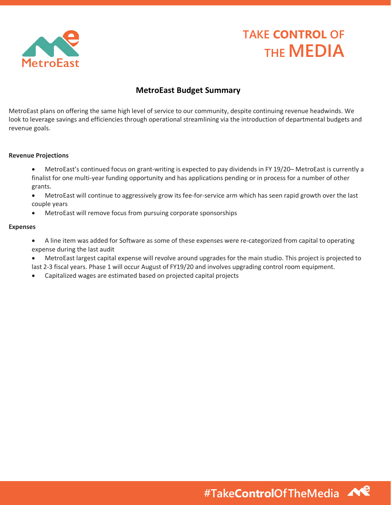

## **TAKE CONTROL OF THE MEDIA**

### **MetroEast Budget Summary**

MetroEast plans on offering the same high level of service to our community, despite continuing revenue headwinds. We look to leverage savings and efficiencies through operational streamlining via the introduction of departmental budgets and revenue goals.

#### **Revenue Projections**

- MetroEast's continued focus on grant-writing is expected to pay dividends in FY 19/20– MetroEast is currently a finalist for one multi-year funding opportunity and has applications pending or in process for a number of other grants.
- MetroEast will continue to aggressively grow its fee-for-service arm which has seen rapid growth over the last couple years
- MetroEast will remove focus from pursuing corporate sponsorships

#### **Expenses**

- A line item was added for Software as some of these expenses were re-categorized from capital to operating expense during the last audit
- MetroEast largest capital expense will revolve around upgrades for the main studio. This project is projected to last 2-3 fiscal years. Phase 1 will occur August of FY19/20 and involves upgrading control room equipment.
- Capitalized wages are estimated based on projected capital projects

**#TakeControlOfTheMedia**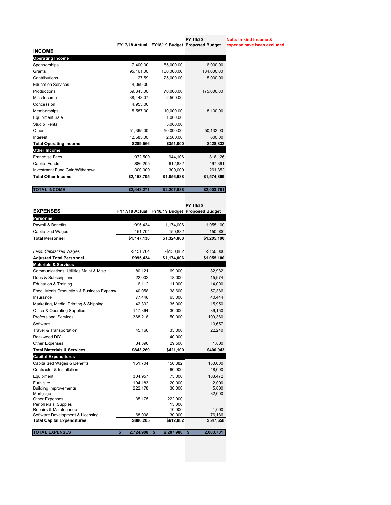| <b>INCOME</b>                   |             |             |             |
|---------------------------------|-------------|-------------|-------------|
| <b>Operating Income</b>         |             |             |             |
| Sponsorships                    | 7,400.00    | 85,000.00   | 6,000.00    |
| Grants                          | 95,161.00   | 100,000.00  | 184,000.00  |
| Contributions                   | 127.59      | 25,000.00   | 5,000.00    |
| <b>Education Services</b>       | 4,099.00    |             |             |
| Productions                     | 69,845.00   | 70,000.00   | 175,000.00  |
| Misc Income                     | 38,443.07   | 2,500.00    |             |
| Concession                      | 4,953.00    |             |             |
| Memberships                     | 5,587.00    | 10,000.00   | 8,100.00    |
| <b>Equipment Sale</b>           |             | 1,000.00    |             |
| Studio Rental                   |             | 5,000.00    |             |
| Other                           | 51,365.00   | 50,000.00   | 50,132.00   |
| Interest                        | 12.585.00   | 2,500.00    | 600.00      |
| <b>Total Operating Income</b>   | \$289,566   | \$351,000   | \$428,832   |
| Other Income                    |             |             |             |
| <b>Franchise Fees</b>           | 972,500     | 944,106     | 816,126     |
| Capital Funds                   | 886,205     | 612,882     | 497,391     |
| Investment Fund Gain/Withdrawal | 300,000     | 300,000     | 261,352     |
| <b>Total Other Income</b>       | \$2,158,705 | \$1,856,988 | \$1,574,869 |
| <b>TOTAL INCOME</b>             | \$2.448.271 | \$2,207,988 | \$2,003,701 |

|                                               |                 |                   | FY 19/20                                      |  |
|-----------------------------------------------|-----------------|-------------------|-----------------------------------------------|--|
| <b>EXPENSES</b>                               |                 |                   | FY17/18 Actual FY18/19 Budget Proposed Budget |  |
| Personnel                                     |                 |                   |                                               |  |
| Payroll & Benefits                            | 995,434         | 1,174,006         | 1,055,100                                     |  |
| <b>Capitalized Wages</b>                      | 151,704         | 150,882           | 150,000                                       |  |
| <b>Total Personnel</b>                        | \$1,147,138     | \$1,324,888       | \$1,205,100                                   |  |
| Less: Capitalized Wages                       | $-$151,704$     | -\$150,882        | $-$150,000$                                   |  |
| <b>Adjusted Total Personnel</b>               | \$995,434       | \$1,174,006       | \$1,055,100                                   |  |
| <b>Materials &amp; Services</b>               |                 |                   |                                               |  |
| Communications, Utilities Maint & Misc        | 80,121          | 69,000            | 82,982                                        |  |
| Dues & Subscriptions                          | 22,002          | 18,000            | 15,974                                        |  |
| <b>Education &amp; Training</b>               | 16,112          | 11,000            | 14,000                                        |  |
| Food, Meals, Production & Business Expense    | 40,058          | 38,600            | 57,386                                        |  |
| Insurance                                     | 77,448          | 65,000            | 40,444                                        |  |
| Marketing, Media, Printing & Shipping         | 42.392          | 35,000            | 15,950                                        |  |
| <b>Office &amp; Operating Supplies</b>        | 117,364         | 30,000            | 39,150                                        |  |
| <b>Professional Services</b>                  | 368,216         | 50,000            | 100,360                                       |  |
| Software                                      |                 |                   | 10,657                                        |  |
| Travel & Transportation                       | 45,166          | 35,000            | 22,240                                        |  |
| Rockwood DIY                                  |                 | 40,000            |                                               |  |
| Other Expenses                                | 34,390          | 29,500            | 1,800                                         |  |
| <b>Total Materials &amp; Services</b>         | \$843,269       | \$421,100         | \$400,943                                     |  |
| <b>Capital Expenditures</b>                   |                 |                   |                                               |  |
| <b>Capitalized Wages &amp; Benefits</b>       | 151,704         | 150,882           | 150,000                                       |  |
| Contractor & Installation                     |                 | 60,000            | 48,000                                        |  |
| Equipment                                     | 304,957         | 75,000            | 183,472                                       |  |
| Furniture                                     | 104,183         | 20,000            | 2,000                                         |  |
| <b>Building Improvements</b>                  | 222,178         | 30,000            | 5,000                                         |  |
| Mortgage                                      |                 |                   | 82,000                                        |  |
| <b>Other Expenses</b><br>Peripherals, Supples | 35,175          | 222,000<br>15,000 |                                               |  |
| Repairs & Maintenance                         |                 | 10,000            | 1,000                                         |  |
| Software Development & Licensing              | 68,008          | 30,000            | 76,186                                        |  |
| <b>Total Capital Expenditures</b>             | \$886,205       | \$612,882         | \$547,658                                     |  |
| <b>TOTAL EXPENSES</b>                         | \$<br>2,724,908 | 2,207,988<br>\$   | \$<br>2,003,701                               |  |

**Note: In-kind income &** 

**FY 19/20** 

**FY17/18 Actual FY18/19 Budget Proposed Budget expense have been excluded**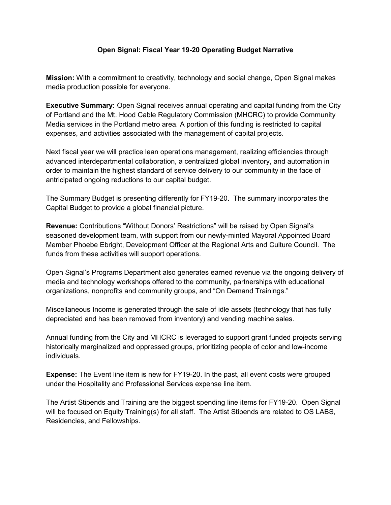#### **Open Signal: Fiscal Year 19-20 Operating Budget Narrative**

**Mission:** With a commitment to creativity, technology and social change, Open Signal makes media production possible for everyone.

**Executive Summary:** Open Signal receives annual operating and capital funding from the City of Portland and the Mt. Hood Cable Regulatory Commission (MHCRC) to provide Community Media services in the Portland metro area. A portion of this funding is restricted to capital expenses, and activities associated with the management of capital projects.

Next fiscal year we will practice lean operations management, realizing efficiencies through advanced interdepartmental collaboration, a centralized global inventory, and automation in order to maintain the highest standard of service delivery to our community in the face of antricipated ongoing reductions to our capital budget.

The Summary Budget is presenting differently for FY19-20. The summary incorporates the Capital Budget to provide a global financial picture.

**Revenue:** Contributions "Without Donors' Restrictions" will be raised by Open Signal's seasoned development team, with support from our newly-minted Mayoral Appointed Board Member Phoebe Ebright, Development Officer at the Regional Arts and Culture Council. The funds from these activities will support operations.

Open Signal's Programs Department also generates earned revenue via the ongoing delivery of media and technology workshops offered to the community, partnerships with educational organizations, nonprofits and community groups, and "On Demand Trainings."

Miscellaneous Income is generated through the sale of idle assets (technology that has fully depreciated and has been removed from inventory) and vending machine sales.

Annual funding from the City and MHCRC is leveraged to support grant funded projects serving historically marginalized and oppressed groups, prioritizing people of color and low-income individuals.

**Expense:** The Event line item is new for FY19-20. In the past, all event costs were grouped under the Hospitality and Professional Services expense line item.

The Artist Stipends and Training are the biggest spending line items for FY19-20. Open Signal will be focused on Equity Training(s) for all staff. The Artist Stipends are related to OS LABS, Residencies, and Fellowships.